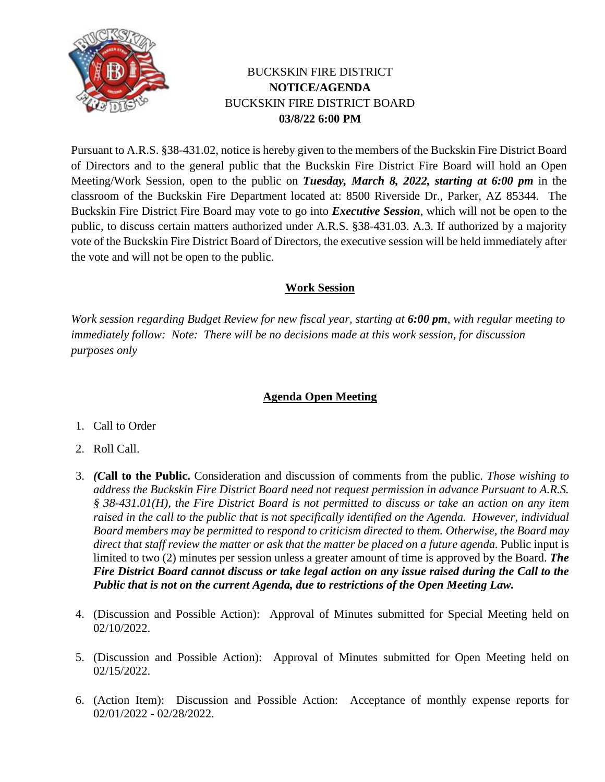

## BUCKSKIN FIRE DISTRICT **NOTICE/AGENDA** BUCKSKIN FIRE DISTRICT BOARD **03/8/22 6:00 PM**

Pursuant to A.R.S. §38-431.02, notice is hereby given to the members of the Buckskin Fire District Board of Directors and to the general public that the Buckskin Fire District Fire Board will hold an Open Meeting/Work Session, open to the public on *Tuesday, March 8, 2022, starting at 6:00 pm* in the classroom of the Buckskin Fire Department located at: 8500 Riverside Dr., Parker, AZ 85344. The Buckskin Fire District Fire Board may vote to go into *Executive Session*, which will not be open to the public, to discuss certain matters authorized under A.R.S. §38-431.03. A.3. If authorized by a majority vote of the Buckskin Fire District Board of Directors, the executive session will be held immediately after the vote and will not be open to the public.

## **Work Session**

*Work session regarding Budget Review for new fiscal year, starting at 6:00 pm, with regular meeting to immediately follow: Note: There will be no decisions made at this work session, for discussion purposes only*

## **Agenda Open Meeting**

- 1. Call to Order
- 2. Roll Call.
- 3. *(C***all to the Public.** Consideration and discussion of comments from the public. *Those wishing to address the Buckskin Fire District Board need not request permission in advance Pursuant to A.R.S. § 38-431.01(H), the Fire District Board is not permitted to discuss or take an action on any item raised in the call to the public that is not specifically identified on the Agenda. However, individual Board members may be permitted to respond to criticism directed to them. Otherwise, the Board may*  direct that staff review the matter or ask that the matter be placed on a future agenda. Public input is limited to two (2) minutes per session unless a greater amount of time is approved by the Board. *The Fire District Board cannot discuss or take legal action on any issue raised during the Call to the Public that is not on the current Agenda, due to restrictions of the Open Meeting Law.*
- 4. (Discussion and Possible Action): Approval of Minutes submitted for Special Meeting held on 02/10/2022.
- 5. (Discussion and Possible Action): Approval of Minutes submitted for Open Meeting held on 02/15/2022.
- 6. (Action Item): Discussion and Possible Action: Acceptance of monthly expense reports for 02/01/2022 - 02/28/2022.